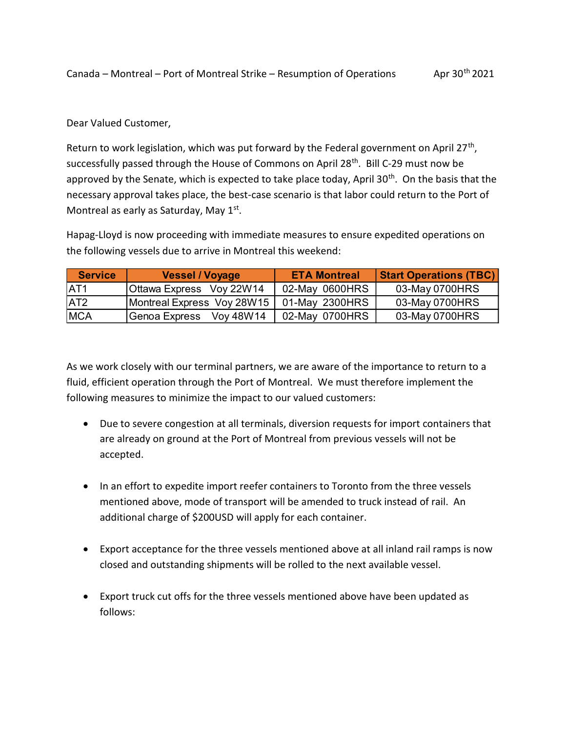## Dear Valued Customer,

Return to work legislation, which was put forward by the Federal government on April 27<sup>th</sup>, successfully passed through the House of Commons on April 28<sup>th</sup>. Bill C-29 must now be approved by the Senate, which is expected to take place today, April 30<sup>th</sup>. On the basis that the necessary approval takes place, the best-case scenario is that labor could return to the Port of Montreal as early as Saturday, May 1st. anda – Montreal – Port of Montreal Strike – Resumption of Operations Apr 30<sup>th</sup> 2021<br>
ar Valued Customer,<br>
turn to work legislation, which was put forward by the Federal government on April 27<sup>th</sup>,<br>
cressfully passed throu Canada – Montreal – Port of Montreal Strike – Resumption of Operations — Apr 30<sup>th</sup> 2021<br>
Dear Valued Customer,<br>
Return to work legislation, which was put forward by the Federal government on April 27<sup>th</sup>,<br>
successfully pa Canada – Montreal – Port of Montreal Strike – Resumption of Operations<br>
Dear Valued Customer,<br>
Dear Valued Customer,<br>
Neturn to work legislation, which was put forward by the Eederal government on April 27<sup>th</sup>,<br>
Dear Value Express Voy 22W14 02-May 0700HRS 03-May 0700HRS<br>MCA Genom Express Voy 48W14 102-May 070HRS (Servey where the more than the more than the more than the more te<br>spreved by the Senate, which is expected to take place today, A

Hapag-Lloyd is now proceeding with immediate measures to ensure expedited operations on the following vessels due to arrive in Montreal this weekend:

| <b>Service</b>   | <b>Vessel / Voyage</b>              | <b>ETA Montreal</b> | <b>Start Operations (TBC)</b> |
|------------------|-------------------------------------|---------------------|-------------------------------|
| IAT1             | Ottawa Express Voy 22W14            | 02-May 0600HRS      | 03-May 0700HRS                |
| IAT <sub>2</sub> | Montreal Express Voy 28W15          | 01-May 2300HRS      | 03-May 0700HRS                |
| ∣MCA             | Voy 48W14<br><u> IGenoa Express</u> | 02-May 0700HRS      | 03-May 0700HRS                |

As we work closely with our terminal partners, we are aware of the importance to return to a fluid, efficient operation through the Port of Montreal. We must therefore implement the following measures to minimize the impact to our valued customers:

- Due to severe congestion at all terminals, diversion requests for import containers that are already on ground at the Port of Montreal from previous vessels will not be accepted.
- In an effort to expedite import reefer containers to Toronto from the three vessels mentioned above, mode of transport will be amended to truck instead of rail. An additional charge of \$200USD will apply for each container.
- Export acceptance for the three vessels mentioned above at all inland rail ramps is now closed and outstanding shipments will be rolled to the next available vessel.
- Export truck cut offs for the three vessels mentioned above have been updated as follows: